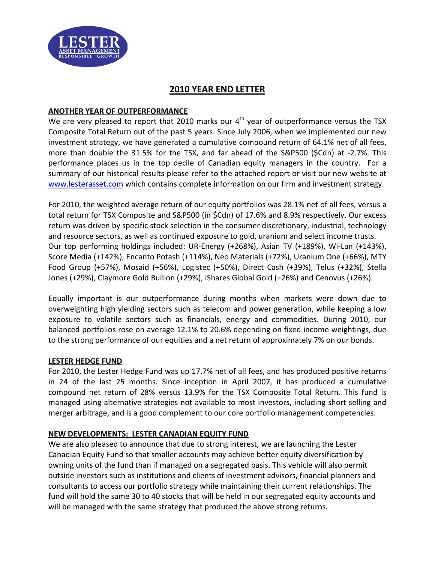

# **2010 YEAR END LETTER**

### **ANOTHER YEAR OF OUTPERFORMANCE**

We are very pleased to report that 2010 marks our  $4<sup>th</sup>$  year of outperformance versus the TSX Composite Total Return out of the past 5 years. Since July 2006, when we implemented our new investment strategy, we have generated a cumulative compound return of 64.1% net of all fees, more than double the 31.5% for the TSX, and far ahead of the S&P500 (\$Cdn) at -2.7%. This performance places us in the top decile of Canadian equity managers in the country. For a summary of our historical results please refer to the attached report or visit our new website at [www.lesterasset.com](http://www.lesterasset.com/) which contains complete information on our firm and investment strategy.

For 2010, the weighted average return of our equity portfolios was 28.1% net of all fees, versus a total return for TSX Composite and S&P500 (in \$Cdn) of 17.6% and 8.9% respectively. Our excess return was driven by specific stock selection in the consumer discretionary, industrial, technology and resource sectors, as well as continued exposure to gold, uranium and select income trusts. Our top performing holdings included: UR-Energy (+268%), Asian TV (+189%), Wi-Lan (+143%), Score Media (+142%), Encanto Potash (+114%), Neo Materials (+72%), Uranium One (+66%), MTY Food Group (+57%), Mosaid (+56%), Logistec (+50%), Direct Cash (+39%), Telus (+32%), Stella Jones (+29%), Claymore Gold Bullion (+29%), iShares Global Gold (+26%) and Cenovus (+26%).

Equally important is our outperformance during months when markets were down due to overweighting high yielding sectors such as telecom and power generation, while keeping a low exposure to volatile sectors such as financials, energy and commodities. During 2010, our balanced portfolios rose on average 12.1% to 20.6% depending on fixed income weightings, due to the strong performance of our equities and a net return of approximately 7% on our bonds.

#### **LESTER HEDGE FUND**

For 2010, the Lester Hedge Fund was up 17.7% net of all fees, and has produced positive returns in 24 of the last 25 months. Since inception in April 2007, it has produced a cumulative compound net return of 28% versus 13.9% for the TSX Composite Total Return. This fund is managed using alternative strategies not available to most investors, including short selling and merger arbitrage, and is a good complement to our core portfolio management competencies.

## **NEW DEVELOPMENTS: LESTER CANADIAN EQUITY FUND**

We are also pleased to announce that due to strong interest, we are launching the Lester Canadian Equity Fund so that smaller accounts may achieve better equity diversification by owning units of the fund than if managed on a segregated basis. This vehicle will also permit outside investors such as institutions and clients of investment advisors, financial planners and consultants to access our portfolio strategy while maintaining their current relationships. The fund will hold the same 30 to 40 stocks that will be held in our segregated equity accounts and will be managed with the same strategy that produced the above strong returns.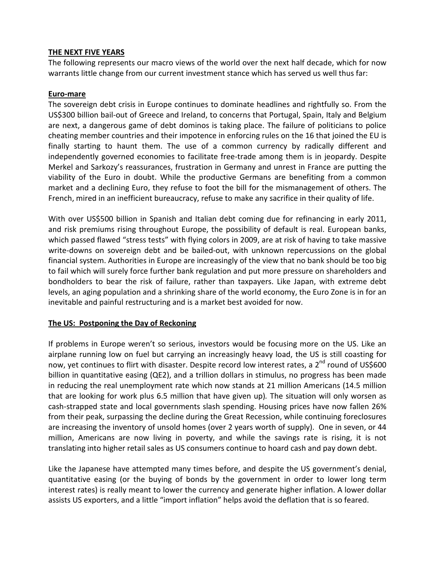### **THE NEXT FIVE YEARS**

The following represents our macro views of the world over the next half decade, which for now warrants little change from our current investment stance which has served us well thus far:

### **Euro-mare**

The sovereign debt crisis in Europe continues to dominate headlines and rightfully so. From the US\$300 billion bail-out of Greece and Ireland, to concerns that Portugal, Spain, Italy and Belgium are next, a dangerous game of debt dominos is taking place. The failure of politicians to police cheating member countries and their impotence in enforcing rules on the 16 that joined the EU is finally starting to haunt them. The use of a common currency by radically different and independently governed economies to facilitate free-trade among them is in jeopardy. Despite Merkel and Sarkozy's reassurances, frustration in Germany and unrest in France are putting the viability of the Euro in doubt. While the productive Germans are benefiting from a common market and a declining Euro, they refuse to foot the bill for the mismanagement of others. The French, mired in an inefficient bureaucracy, refuse to make any sacrifice in their quality of life.

With over US\$500 billion in Spanish and Italian debt coming due for refinancing in early 2011, and risk premiums rising throughout Europe, the possibility of default is real. European banks, which passed flawed "stress tests" with flying colors in 2009, are at risk of having to take massive write-downs on sovereign debt and be bailed-out, with unknown repercussions on the global financial system. Authorities in Europe are increasingly of the view that no bank should be too big to fail which will surely force further bank regulation and put more pressure on shareholders and bondholders to bear the risk of failure, rather than taxpayers. Like Japan, with extreme debt levels, an aging population and a shrinking share of the world economy, the Euro Zone is in for an inevitable and painful restructuring and is a market best avoided for now.

#### **The US: Postponing the Day of Reckoning**

If problems in Europe weren't so serious, investors would be focusing more on the US. Like an airplane running low on fuel but carrying an increasingly heavy load, the US is still coasting for now, yet continues to flirt with disaster. Despite record low interest rates, a 2<sup>nd</sup> round of US\$600 billion in quantitative easing (QE2), and a trillion dollars in stimulus, no progress has been made in reducing the real unemployment rate which now stands at 21 million Americans (14.5 million that are looking for work plus 6.5 million that have given up)*.* The situation will only worsen as cash-strapped state and local governments slash spending. Housing prices have now fallen 26% from their peak, surpassing the decline during the Great Recession, while continuing foreclosures are increasing the inventory of unsold homes (over 2 years worth of supply). One in seven, or 44 million, Americans are now living in poverty, and while the savings rate is rising, it is not translating into higher retail sales as US consumers continue to hoard cash and pay down debt.

Like the Japanese have attempted many times before, and despite the US government's denial, quantitative easing (or the buying of bonds by the government in order to lower long term interest rates) is really meant to lower the currency and generate higher inflation. A lower dollar assists US exporters, and a little "import inflation" helps avoid the deflation that is so feared.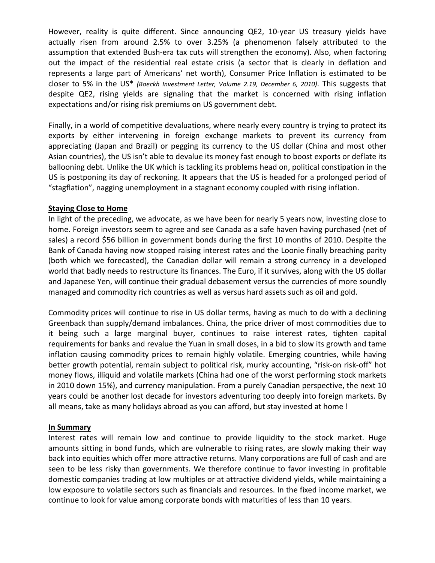However, reality is quite different. Since announcing QE2, 10-year US treasury yields have actually risen from around 2.5% to over 3.25% (a phenomenon falsely attributed to the assumption that extended Bush-era tax cuts will strengthen the economy). Also, when factoring out the impact of the residential real estate crisis (a sector that is clearly in deflation and represents a large part of Americans' net worth), Consumer Price Inflation is estimated to be closer to 5% in the US\* *(Boeckh Investment Letter, Volume 2.19, December 6, 2010)*. This suggests that despite QE2, rising yields are signaling that the market is concerned with rising inflation expectations and/or rising risk premiums on US government debt.

Finally, in a world of competitive devaluations, where nearly every country is trying to protect its exports by either intervening in foreign exchange markets to prevent its currency from appreciating (Japan and Brazil) or pegging its currency to the US dollar (China and most other Asian countries), the US isn't able to devalue its money fast enough to boost exports or deflate its ballooning debt. Unlike the UK which is tackling its problems head on, political constipation in the US is postponing its day of reckoning. It appears that the US is headed for a prolonged period of "stagflation", nagging unemployment in a stagnant economy coupled with rising inflation.

#### **Staying Close to Home**

In light of the preceding, we advocate, as we have been for nearly 5 years now, investing close to home. Foreign investors seem to agree and see Canada as a safe haven having purchased (net of sales) a record \$56 billion in government bonds during the first 10 months of 2010. Despite the Bank of Canada having now stopped raising interest rates and the Loonie finally breaching parity (both which we forecasted), the Canadian dollar will remain a strong currency in a developed world that badly needs to restructure its finances. The Euro, if it survives, along with the US dollar and Japanese Yen, will continue their gradual debasement versus the currencies of more soundly managed and commodity rich countries as well as versus hard assets such as oil and gold.

Commodity prices will continue to rise in US dollar terms, having as much to do with a declining Greenback than supply/demand imbalances. China, the price driver of most commodities due to it being such a large marginal buyer, continues to raise interest rates, tighten capital requirements for banks and revalue the Yuan in small doses, in a bid to slow its growth and tame inflation causing commodity prices to remain highly volatile. Emerging countries, while having better growth potential, remain subject to political risk, murky accounting, "risk-on risk-off" hot money flows, illiquid and volatile markets (China had one of the worst performing stock markets in 2010 down 15%), and currency manipulation. From a purely Canadian perspective, the next 10 years could be another lost decade for investors adventuring too deeply into foreign markets. By all means, take as many holidays abroad as you can afford, but stay invested at home !

#### **In Summary**

Interest rates will remain low and continue to provide liquidity to the stock market. Huge amounts sitting in bond funds, which are vulnerable to rising rates, are slowly making their way back into equities which offer more attractive returns. Many corporations are full of cash and are seen to be less risky than governments. We therefore continue to favor investing in profitable domestic companies trading at low multiples or at attractive dividend yields, while maintaining a low exposure to volatile sectors such as financials and resources. In the fixed income market, we continue to look for value among corporate bonds with maturities of less than 10 years.